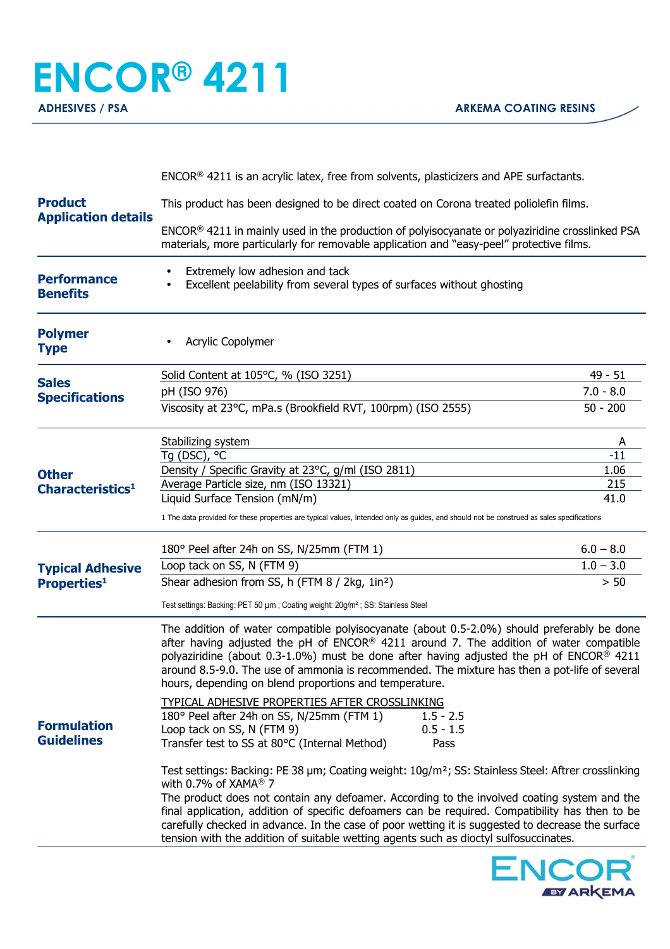## **ENCOR® 4211 ADHESIVES / PSA ARKEMA COATING RESINS**

| <b>Product</b><br><b>Application details</b> | $ENCOR®$ 4211 is an acrylic latex, free from solvents, plasticizers and APE surfactants.                                                                                                                                                                                                                                                                                                                                                                                                                                                |             |  |
|----------------------------------------------|-----------------------------------------------------------------------------------------------------------------------------------------------------------------------------------------------------------------------------------------------------------------------------------------------------------------------------------------------------------------------------------------------------------------------------------------------------------------------------------------------------------------------------------------|-------------|--|
|                                              | This product has been designed to be direct coated on Corona treated poliolefin films.                                                                                                                                                                                                                                                                                                                                                                                                                                                  |             |  |
|                                              | ENCOR® 4211 in mainly used in the production of polyisocyanate or polyaziridine crosslinked PSA<br>materials, more particularly for removable application and "easy-peel" protective films.                                                                                                                                                                                                                                                                                                                                             |             |  |
| <b>Performance</b><br><b>Benefits</b>        | Extremely low adhesion and tack<br>Excellent peelability from several types of surfaces without ghosting<br>$\bullet$                                                                                                                                                                                                                                                                                                                                                                                                                   |             |  |
| <b>Polymer</b><br><b>Type</b>                | Acrylic Copolymer                                                                                                                                                                                                                                                                                                                                                                                                                                                                                                                       |             |  |
| <b>Sales</b><br><b>Specifications</b>        | Solid Content at 105°C, % (ISO 3251)                                                                                                                                                                                                                                                                                                                                                                                                                                                                                                    | $49 - 51$   |  |
|                                              | pH (ISO 976)                                                                                                                                                                                                                                                                                                                                                                                                                                                                                                                            | $7.0 - 8.0$ |  |
|                                              | Viscosity at 23°C, mPa.s (Brookfield RVT, 100rpm) (ISO 2555)                                                                                                                                                                                                                                                                                                                                                                                                                                                                            | $50 - 200$  |  |
|                                              | Stabilizing system                                                                                                                                                                                                                                                                                                                                                                                                                                                                                                                      | A           |  |
|                                              | Tg (DSC), °C                                                                                                                                                                                                                                                                                                                                                                                                                                                                                                                            | $-11$       |  |
| <b>Other</b>                                 | Density / Specific Gravity at 23°C, g/ml (ISO 2811)                                                                                                                                                                                                                                                                                                                                                                                                                                                                                     | 1.06        |  |
| Characteristics <sup>1</sup>                 | Average Particle size, nm (ISO 13321)                                                                                                                                                                                                                                                                                                                                                                                                                                                                                                   | 215         |  |
|                                              | Liquid Surface Tension (mN/m)                                                                                                                                                                                                                                                                                                                                                                                                                                                                                                           | 41.0        |  |
|                                              | 1 The data provided for these properties are typical values, intended only as guides, and should not be construed as sales specifications                                                                                                                                                                                                                                                                                                                                                                                               |             |  |
|                                              | 180° Peel after 24h on SS, N/25mm (FTM 1)                                                                                                                                                                                                                                                                                                                                                                                                                                                                                               | $6.0 - 8.0$ |  |
| <b>Typical Adhesive</b>                      | Loop tack on SS, N (FTM 9)                                                                                                                                                                                                                                                                                                                                                                                                                                                                                                              | $1.0 - 3.0$ |  |
| <b>Properties1</b>                           | Shear adhesion from SS, h (FTM 8 / 2kg, 1in <sup>2</sup> )                                                                                                                                                                                                                                                                                                                                                                                                                                                                              | $> 50$      |  |
|                                              | Test settings: Backing: PET 50 µm; Coating weight: 20g/m <sup>2</sup> ; SS: Stainless Steel                                                                                                                                                                                                                                                                                                                                                                                                                                             |             |  |
| <b>Formulation</b><br><b>Guidelines</b>      | The addition of water compatible polyisocyanate (about 0.5-2.0%) should preferably be done<br>after having adjusted the pH of $ENCOR® 4211$ around 7. The addition of water compatible<br>polyaziridine (about 0.3-1.0%) must be done after having adjusted the pH of ENCOR <sup>®</sup> 4211<br>around 8.5-9.0. The use of ammonia is recommended. The mixture has then a pot-life of several<br>hours, depending on blend proportions and temperature.                                                                                |             |  |
|                                              | TYPICAL ADHESIVE PROPERTIES AFTER CROSSLINKING<br>180° Peel after 24h on SS, N/25mm (FTM 1)<br>$1.5 - 2.5$<br>$0.5 - 1.5$<br>Loop tack on SS, N (FTM 9)<br>Transfer test to SS at 80°C (Internal Method)<br>Pass                                                                                                                                                                                                                                                                                                                        |             |  |
|                                              | Test settings: Backing: PE 38 µm; Coating weight: 10g/m <sup>2</sup> ; SS: Stainless Steel: Aftrer crosslinking<br>with 0.7% of XAMA® 7<br>The product does not contain any defoamer. According to the involved coating system and the<br>final application, addition of specific defoamers can be required. Compatibility has then to be<br>carefully checked in advance. In the case of poor wetting it is suggested to decrease the surface<br>tension with the addition of suitable wetting agents such as dioctyl sulfosuccinates. |             |  |
|                                              |                                                                                                                                                                                                                                                                                                                                                                                                                                                                                                                                         |             |  |